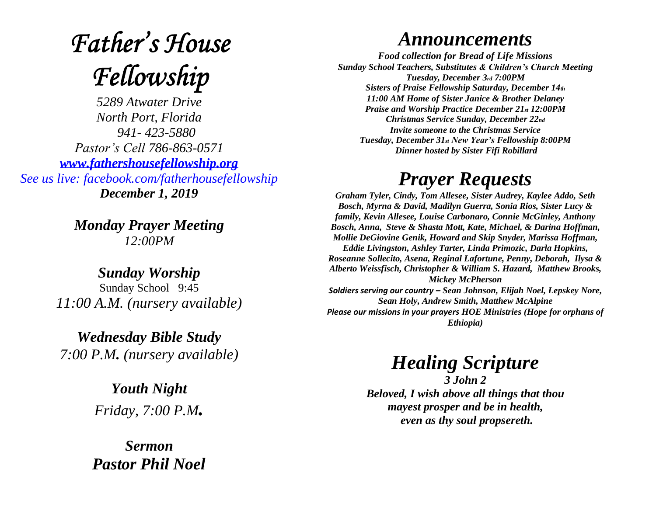# **Father's House** Fellowship

*5289 Atwater Drive North Port, Florida 941- 423-5880 Pastor's Cell 786-863-0571 [www.fathershousefellowship.org](http://www.fathershousefellowship.org/) See us live: facebook.com/fatherhousefellowship December 1, 2019*

> *Monday Prayer Meeting 12:00PM*

*Sunday Worship* Sunday School 9:45 *11:00 A.M. (nursery available)*

*Wednesday Bible Study 7:00 P.M. (nursery available)*

> *Youth Night Friday, 7:00 P.M.*

*Sermon Pastor Phil Noel*

#### *Announcements*

*Food collection for Bread of Life Missions Sunday School Teachers, Substitutes & Children's Church Meeting Tuesday, December 3rd 7:00PM Sisters of Praise Fellowship Saturday, December 14th 11:00 AM Home of Sister Janice & Brother Delaney Praise and Worship Practice December 21st 12:00PM Christmas Service Sunday, December 22nd Invite someone to the Christmas Service Tuesday, December 31st New Year's Fellowship 8:00PM Dinner hosted by Sister Fifi Robillard*

## *Prayer Requests*

*Graham Tyler, Cindy, Tom Allesee, Sister Audrey, Kaylee Addo, Seth Bosch, Myrna & David, Madilyn Guerra, Sonia Rios, Sister Lucy & family, Kevin Allesee, Louise Carbonaro, Connie McGinley, Anthony Bosch, Anna, Steve & Shasta Mott, Kate, Michael, & Darina Hoffman, Mollie DeGiovine Genik, Howard and Skip Snyder, Marissa Hoffman, Eddie Livingston, Ashley Tarter, Linda Primozic, Darla Hopkins, Roseanne Sollecito, Asena, Reginal Lafortune, Penny, Deborah, Ilysa & Alberto Weissfisch, Christopher & William S. Hazard, Matthew Brooks, Mickey McPherson Soldiers serving our country – Sean Johnson, Elijah Noel, Lepskey Nore, Sean Holy, Andrew Smith, Matthew McAlpine Please our missions in your prayers HOE Ministries (Hope for orphans of Ethiopia)*

### *Healing Scripture*

*3 John 2 Beloved, I wish above all things that thou mayest prosper and be in health, even as thy soul propsereth.*